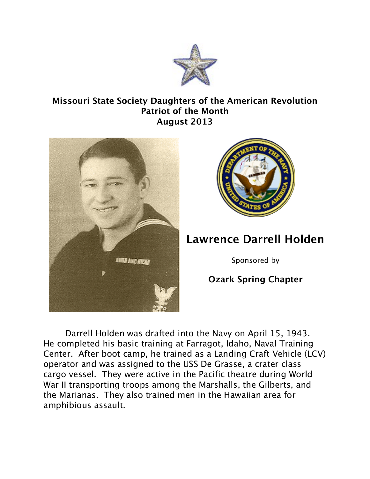

## **Missouri State Society Daughters of the American Revolution Patriot of the Month August 2013**





## **Lawrence Darrell Holden**

Sponsored by

## **Ozark Spring Chapter**

Darrell Holden was drafted into the Navy on April 15, 1943. He completed his basic training at Farragot, Idaho, Naval Training Center. After boot camp, he trained as a Landing Craft Vehicle (LCV) operator and was assigned to the USS De Grasse, a crater class cargo vessel. They were active in the Pacific theatre during World War II transporting troops among the Marshalls, the Gilberts, and the Marianas. They also trained men in the Hawaiian area for amphibious assault.